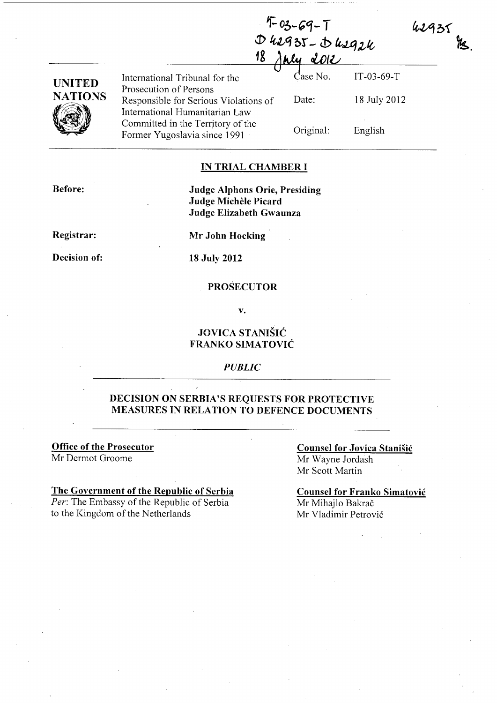42935

尨

|                | $D$ 42935 - $D$ 42924<br>18<br>2012<br>hly                              |           |              |
|----------------|-------------------------------------------------------------------------|-----------|--------------|
| <b>UNITED</b>  | International Tribunal for the<br>Prosecution of Persons                | Case No.  | $IT-03-69-T$ |
| <b>NATIONS</b> | Responsible for Serious Violations of<br>International Humanitarian Law | Date:     | 18 July 2012 |
|                | Committed in the Territory of the<br>Former Yugoslavia since 1991       | Original: | English      |

 $4 - 03 - 69 - 1$ 

## **IN TRIAL CHAMBER I**

**Before:** 

**Judge Alphons Orie, Presiding Judge Michele Picard Judge Elizabeth Gwaunza** 

**Registrar:** 

**Decision of:** 

**Mr John Hocking** 

**18 July 2012** 

### **PROSECUTOR**

**v.** 

## **JOVICA STANISIC FRANKO SIMATOVIC**

## *PUBLIC*

## **DECISION ON SERBIA'S REQUESTS FOR PROTECTIVE MEASURES IN RELATION TO DEFENCE DOCUMENTS**

**Office of the Prosecutor**  Mr Dermot Groome

**The Government of the Republic of Serbia**  Per: The Embassy of the Republic of Serbia to the Kingdom of the Netherlands

**Counsel for Jovica Stanisic**  Mr Wayne Jordash Mr Scott Martin

**Counsel for Franko Simatovic**  Mr Mihajlo Bakrač Mr Vladimir Petrović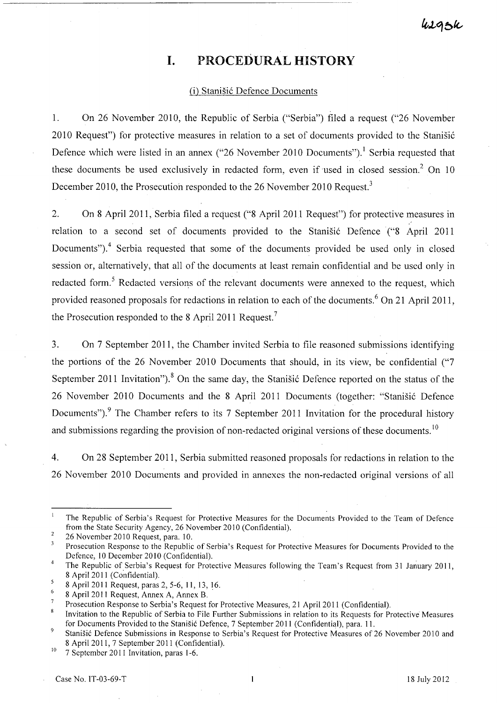# hegok

# **I. PROCEDURAL HISTORY**

#### (i) Stanišić Defence Documents

1. On 26 November 2010, the Republic of Serbia ("Serbia") filed a request ("26 November 2010 Request") for protective measures in relation to a set of documents provided to the Stanišić Defence which were listed in an annex ("26 November 2010 Documents").<sup>1</sup> Serbia requested that these documents be used exclusively in redacted form, even if used in closed session.<sup>2</sup> On 10 December 2010, the Prosecution responded to the 26 November 2010 Request.<sup>3</sup>

2. On 8 April 2011, Serbia filed a request ("8 April 2011 Request") for protective measures in relation to a second set of documents provided to the Stanišić Defence ("8 April 2011 Documents").<sup>4</sup> Serbia requested that some of the documents provided be used only in closed session or, alternatively, that all of the documents at least remain confidential and be used only in redacted form.<sup>5</sup> Redacted versions of the relevant documents were annexed to the request, which provided reasoned proposals for redactions in relation to each of the documents.<sup>6</sup> On 21 April 2011, the Prosecution responded to the 8 April 2011 Request.<sup>7</sup>

3. On 7 September 2011, the Chamber invited Serbia to file reasoned submissions identifying the portions of the 26 November 2010 Documents that should, in its view, be confidential ("7 September 2011 Invitation").<sup>8</sup> On the same day, the Stanistic Defence reported on the status of the 26 November 2010 Documents and the 8 April 2011 Documents (together: "Stanišić Defence Documents").<sup>9</sup> The Chamber refers to its 7 September 2011 Invitation for the procedural history and submissions regarding the provision of non-redacted original versions of these documents.<sup>10</sup>

4. On 28 September 2011, Serbia submitted reasoned proposals for redactions in relation to the 26 November 2010 Documents and provided in annexes the non-redacted original versions of all

 $\mathbf{1}$ The Republic of Serbia's Request for Protective Measures for the Documents Provided to the Team of Defence from the State Security Agency, 26 November 2010 (Confidential).  $\overline{2}$ 

<sup>26</sup> November 2010 Request, para. 10.

 $\mathbf{3}$ Prosecution Response to the Republic of Serbia's Request for Protective Measures for Documents Provided to the Defence, 10 December 2010 (Confidential).

<sup>&</sup>lt;sup>4</sup> The Republic of Serbia's Request for Protective Measures following the Team's Request from 31 January 2011, 8 April 2011 (Confidential).

 $\overline{\mathbf{S}}$ 8 April 2011 Request, paras 2, 5-6, 11, 13,16.

 $\overline{6}$ 8 April 2011 Request, Annex A, Annex B.

Prosecution Response to Serbia's Request for Protective Measures, 21 April 2011 (Confidential).

 $\overline{\mathbf{8}}$ Invitation to the Republic of Serbia to File Further Submissions in relation to its Requests for Protective Measures for Documents Provided to the Stanisic Defence, 7 September 2011 (Confidential), para. 11.

<sup>&</sup>lt;sup>9</sup> Stanisic Defence Submissions in Response to Serbia's Request for Protective Measures of 26 November 2010 and 8 April 2011, 7 September 2011 (Confidential).

 $10$  7 September 2011 Invitation, paras 1-6.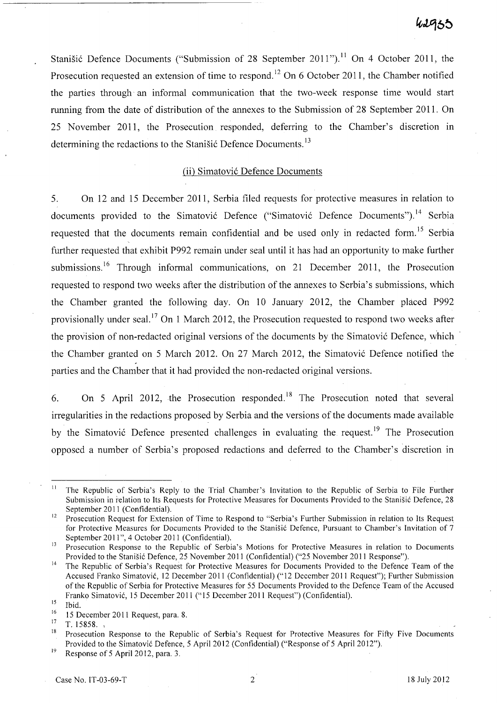Stanišić Defence Documents ("Submission of 28 September 2011").<sup>11</sup> On 4 October 2011, the Prosecution requested an extension of time to respond.<sup>12</sup> On 6 October 2011, the Chamber notified the parties through· an informal communication that the two-week response time would start running from the date of distribution of the annexes to the Submission of 28 September 2011. On 25 November 2011, the Prosecution responded, deferring to the Chamber's discretion in determining the redactions to the Stanisic Defence Documents.<sup>13</sup>

### (ii) Simatović Defence Documents

5. On 12 and 15 December 2011, Serbia filed requests for protective measures in relation to documents provided to the Simatović Defence ("Simatović Defence Documents").<sup>14</sup> Serbia requested that the documents remain confidential and be used only in redacted form.<sup>15</sup> Serbia further requested that exhibit P992 remain under seal until it has had an opportunity to make further submissions.<sup>16</sup> Through informal communications, on 21 December 2011, the Prosecution requested to respond two weeks after the distribution of the annexes to Serbia's submissions, which the Chamber granted the following day. On 10 January 2012, the Chamber placed P992 provisionally under seal.<sup>17</sup> On 1 March 2012, the Prosecution requested to respond two weeks after the provision of non-redacted original versions of the documents by the Simatović Defence, which the Chamber granted on 5 March 2012. On 27 March 2012, the Simatović Defence notified the parties and the Chamber that it had provided the non-redacted original versions.

6. On 5 April 2012, the Prosecution responded.<sup>18</sup> The Prosecution noted that several irregularities in the redactions proposed by Serbia and the versions of the documents made available by the Simatović Defence presented challenges in evaluating the request.<sup>19</sup> The Prosecution opposed a number of Serbia's proposed redactions and deferred to the Chamber's discretion in

<sup>&</sup>lt;sup>11</sup> The Republic of Serbia's Reply to the Trial Chamber's Invitation to the Republic of Serbia to File Further Submission in relation to Its Requests for Protective Measures for Documents Provided to the Stanišić Defence, 28 September 2011 (Confidential).

<sup>&</sup>lt;sup>12</sup> Prosecution Request for Extension of Time to Respond to "Serbia's Further Submission in relation to Its Request for Protective Measures for Documents Provided to the Stanišić Defence, Pursuant to Chamber's Invitation of 7 September 2011", 4 October 2011 (Confidential).

<sup>&</sup>lt;sup>13</sup> Prosecution Response to the Republic of Serbia's Motions for Protective Measures in relation to Documents Provided to the Stanišić Defence, 25 November 2011 (Confidential) ("25 November 2011 Response").

<sup>&</sup>lt;sup>14</sup> The Republic of Serbia's Request for Protective Measures for Documents Provided to the Defence Team of the Accused Franko Simatovi6, 12 December 2011 (Confidential) ("12 December 2011 Request"); Further Submission of the Republic of Serbia for Protective Measures for 55 Documents Provided to the Defence Team of the Accused Franko Simatović, 15 December 2011 ("15 December 2011 Request") (Confidential).

 $^{15}$  Ibid.

 $^{16}$  15 December 2011 Request, para. 8.

 $17 \tT. 15858.$ 

<sup>18</sup> Prosecution Response to the Republic of Serbia's Request for Protective Measures for Fifty Five Documents Provided to the Simatović Defence, 5 April 2012 (Confidential) ("Response of 5 April 2012").

<sup>&</sup>lt;sup>19</sup> Response of 5 April 2012, para. 3.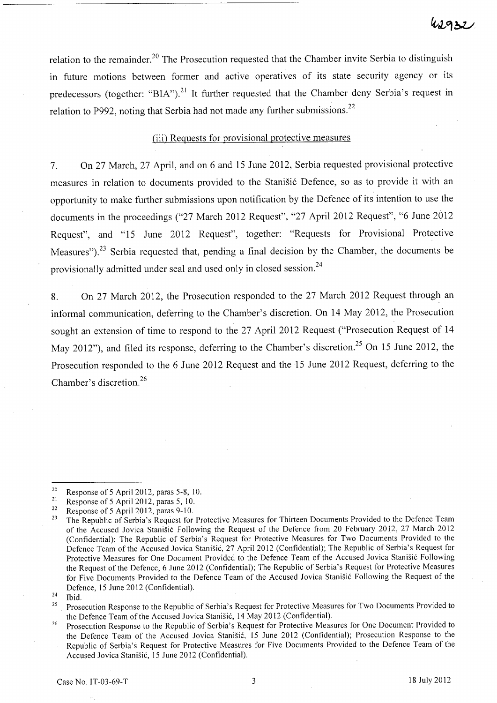relation to the remainder.<sup>20</sup> The Prosecution requested that the Chamber invite Serbia to distinguish in future motions between former and active operatives of its state security agency or its predecessors (together: "BIA").<sup>21</sup> It further requested that the Chamber deny Serbia's request in relation to P992, noting that Serbia had not made any further submissions. $^{22}$ 

# (iii) Requests for provisional protective measures

7. On 27 March, 27 April, and on 6 and 15 June 2012, Serbia requested provisional protective measures in relation to documents provided to the Stanišić Defence, so as to provide it with an opportunity to make further submissions upon notification by the Defence of its intention to use the documents in the proceedings ("27 March 2012 Request", "27 April 2012 Request", "6 June 2012 Request", and "15 June 2012 Request", together: "Requests for Provisional Protective Measures").<sup>23</sup> Serbia requested that, pending a final decision by the Chamber, the documents be provisionally admitted under seal and used only in closed session.<sup>24</sup>

8. On 27 March 2012, the Prosecution responded to the 27 March 2012 Request through an informal communication, deferring to the Chamber's discretion. On 14 May 2012, the Prosecution sought an extension of time to respond to the 27 April 2012 Request ("Prosecution Request of 14 May 2012"), and filed its response, deferring to the Chamber's discretion.<sup>25</sup> On 15 June 2012, the Prosecution responded to the 6 June 2012 Request and the 15 June 2012 Request, deferring to the Chamber's discretion.<sup>26</sup>

<sup>&</sup>lt;sup>20</sup> Response of 5 April 2012, paras 5-8, 10.<br><sup>21</sup> Personse of 5 April 2012, paras 5, 10.

<sup>&</sup>lt;sup>21</sup> Response of 5 April 2012, paras 5, 10.<br>Response of 5 April 2012, paras 9-10.

<sup>&</sup>lt;sup>22</sup> Response of 5 April 2012, paras  $9-10$ .<br><sup>23</sup> The Benublic of Sophia's Boquest for

The Republic of Serbia's Request for Protective Measures for Thirteen Documents Provided to the Defence Team of the Accused Jovica Stanisic Following the Request of the Defence from 20 February 2012, 27 March 2012 (Confidential); The Republic of Serbia's Request for Protective Measures for Two Documents Provided to the Defence Team of the Accused Jovica Stanisic, 27 April 2012 (Confidential); The Republic of Serbia's Request for Protective Measures for One Document Provided to the Defence Team of the Accused Jovica Stanišić Following the Request of the Defence, 6 June 2012 (Confidential); The Republic of Serbia's Request for Protective Measures for Five Documents Provided to the Defence Team of the Accused Jovica Stanišić Following the Request of the Defence, 15 June 2012 (Confidential).

 $24$  Ibid.

<sup>&</sup>lt;sup>25</sup> Prosecution Response to the Republic of Serbia's Request for Protective Measures for Two Documents Provided to the Defence Team of the Accused Jovica Stanišić, 14 May 2012 (Confidential).

<sup>26</sup> Prosecution Response to the Republic of Serbia's Request for Protective Measures for One Document Provided to the Defence Team of the Accused Jovica Stanišić, 15 June 2012 (Confidential); Prosecution Response to the Republic of Serbia's Request for Protective Measures for Five Documents Provided to the Defence Team of the Accused Jovica Stanišić, 15 June 2012 (Confidential).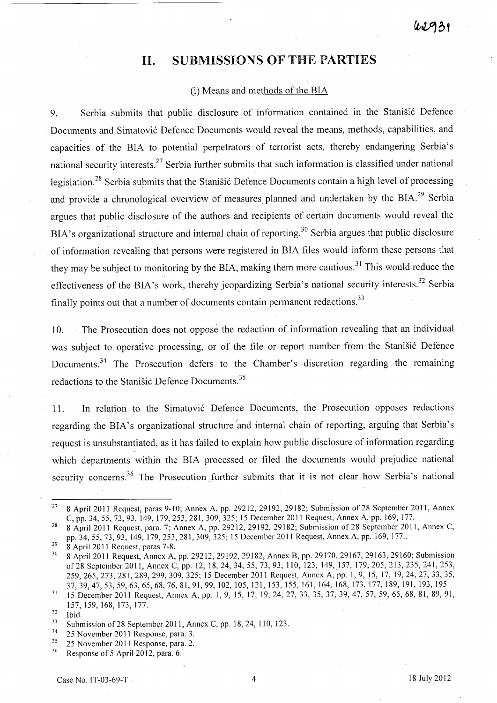# **11. SUBMISSIONS OF** THE **PARTIES**

### $(i)$  Means and methods of the  $BIA$

9. Serbia submits that public disclosure of information contained in the Stanisic Defence Documents and Simatovi6 Defence Documents would reveal the means, methods, capabilities, and capacities of the BIA to potential perpetrators of terrorist acts, thereby endangering Serbia's national security interests.27 Serbia further submits that such information is classified under national legislation.<sup>28</sup> Serbia submits that the Stanišić Defence Documents contain a high level of processing and provide a chronological overview of measures planned and undertaken by the BIA.<sup>29</sup> Serbia argues that public disclosure of the authors and recipients of certain documents would reveal the BIA's organizational structure and internal chain of reporting.<sup>30</sup> Serbia argues that public disclosure of information revealing that persons were registered in BIA files would inform these persons that they may be subject to monitoring by the BIA, making them more cautious.<sup>31</sup> This would reduce the effectiveness of the BIA's work, thereby jeopardizing Serbia's national security interests.<sup>32</sup> Serbia finally points out that a number of documents contain permanent redactions.<sup>33</sup>

10. The Prosecution does not oppose the redaction of information revealing that an individual was subject to operative processing, or of the file or report number from the Stanišić Defence Documents.<sup>34</sup> The Prosecution defers to the Chamber's discretion regarding the remaining redactions to the Stanišić Defence Documents.<sup>35</sup>

11. In relation to the Simatović Defence Documents, the Prosecution opposes redactions regarding the BIA's organizational structure 'and internal chain of reporting, arguing that Serbia's request is unsubstantiated, as it has failed to explain how public disclosure of information regarding which departments within the BIA processed or filed the documents would prejudice national security concerns.<sup>36</sup> The Prosecution further submits that it is not clear how Serbia's national

 $32$  Ibid.

 $278$  8 April 2011 Request, paras 9-10; Annex A, pp. 29212, 29192, 29182; Submission of 28 September 2011, Annex C, pp. 34, 55, 73, 93, 149, 179,253,281,309,325; 15 December 2011 Request, Annex A, pp. 169, 177.

<sup>28 8</sup> April 2011 Request, para. 7; Annex A, pp. 29212, 29192, 29182; Submission of 28 September 2011, Annex C, pp. 34, 55, 73, 93, 149, 179, 253, 281, 309, 325; 15 December 2011 Request, Annex A, pp. 169, 177...

 $^{29}$  8 April 2011 Request, paras 7-8.

<sup>30 8</sup> April 2011 Request, Annex A, pp. 29212, 29192, 29182, Annex B, pp. 29170, 29167, 29163,29160; Submission of28 September 2011, Annex C, pp. 12, 18,24,34,55,73,93,110,123, 149,157, 179,205,213,235,241,253, 259, 265, 273, 281, 289, 299, 309, 325; 15 December 2011 Request, Annex A, pp. 1, 9, 15, 17, 19, 24, 27, 33, 35, 37,39,47,53,59,63,65,68,76,81,91,99,102,105,121, 153, 155, 161, 164, 168, 173,177,189,191,193,195.

<sup>&</sup>lt;sup>31</sup> 15 December 2011 Request, Annex A, pp. 1, 9, 15, 17, 19, 24, 27, 33, 35, 37, 39, 47, 57, 59, 65, 68, 81, 89, 91, 157,159,168,173,177.

<sup>&</sup>lt;sup>33</sup> Submission of 28 September 2011, Annex C, pp. 18, 24, 110, 123.

 $3^3$  25 November 2011 Response, para. 3.<br> $3^5$  25 November 2011 Because para. 2.

 $\frac{35}{36}$  25 November 2011 Response, para. 2.<br> $\frac{36}{36}$  Besponse of 5 April 2012 para. 6

Response of 5 April 2012, para. 6.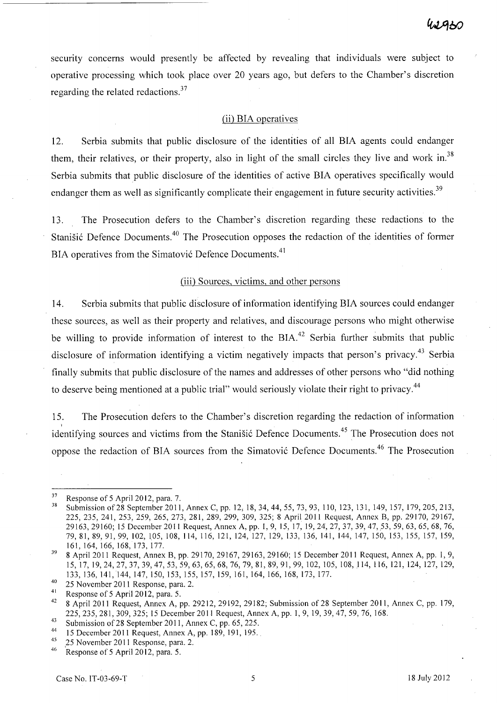security concerns would presently be affected by revealing that individuals were subject to operative processing which took place over 20 years ago, but defers to the Chamber's discretion regarding the related redactions.<sup>37</sup>

### (ii) BIA operatives

12. Serbia submits that public disclosure of the identities of all BIA agents could endanger them, their relatives, or their property, also in light of the small circles they live and work in.<sup>38</sup> Serbia submits that public disclosure of the identities of active BIA operatives specifically would endanger them as well as significantly complicate their engagement in future security activities.<sup>39</sup>

13. The Prosecution defers to the Chamber's discretion regarding these redactions to the Stanišić Defence Documents.<sup>40</sup> The Prosecution opposes the redaction of the identities of former BIA operatives from the Simatović Defence Documents.<sup>41</sup>

### (iii) Sources, victims, and other persons

14. Serbia submits that public disclosure of information identifying BIA sources could endanger these sources, as well as their property and relatives, and discourage persons who might otherwise be willing to provide information of interest to the  $BIA<sup>42</sup>$  Serbia further submits that public disclosure of information identifying a victim negatively impacts that person's privacy.<sup>43</sup> Serbia finally submits that public disclosure of the names and addresses of other persons who "did nothing to deserve being mentioned at a public trial" would seriously violate their right to privacy.<sup>44</sup>

15. The Prosecution defers to the Chamber's discretion regarding the redaction of information identifying sources and victims from the Stanišić Defence Documents.<sup>45</sup> The Prosecution does not oppose the redaction of BIA sources from the Simatović Defence Documents.<sup>46</sup> The Prosecution

 $\frac{43}{44}$  Submission of 28 September 2011, Annex C, pp. 65, 225.

 $37$  Response of 5 April 2012, para. 7.<br> $38$  Submission of 28 Sontomber 2011

Submission of 28 September 2011, Annex C, pp. 12, 18, 34, 44, 55, 73, 93, 110, 123, 131, 149, 157, 179, 205, 213, 225,235,241,253,259,265,273,281,289,299,309,325; 8 April 2011 Request, Annex B, pp. 29170, 29167, 29163,29160; 15 December 2011 Request, Annex A, pp. 1,9,15,17,19,24,27,37,39,47,53,59,63,65,68,76, 79,81,89,91,99, 102, 105, 108, 114, 116, 121, 124, 127, 129, 133, 136, 141, 144, 147, 150, 153, 155, 157, 159, 161,164,166,168,173,177.

<sup>39 8</sup> April 2011 Request, Annex B, pp. 29170, 29167, 29163, 29160; 15 December 2011 Request, Annex A, pp. 1,9, 15,17,19,24,27,37,39,47,53,59,63,65,68, 76, 79,81,89,91,99,102,105,108,114,116,121,124,127,129, 133,136,141,144,147,150,153,155,157,159,161,164, 166, 168, 173, 177.

 $^{40}$  25 November 2011 Response, para. 2.<br> $^{41}$  Bername of 5 April 2012 nove 5

<sup>&</sup>lt;sup>41</sup> Response of 5 April 2012, para. 5.<br><sup>42</sup> 2. April 2011 Besure to Append 4.

<sup>42 8</sup> April 2011 Request, Annex A, pp. 29212, 29192, 29182; Submission of 28 September 2011, Annex C, pp. 179, 225,235,281,309,325; 15 December 2011 Request, Annex A, pp. 1,9,19,39,47,59,76,168.

<sup>&</sup>lt;sup>44</sup> 15 December 2011 Request, Annex A, pp. 189, 191, 195.

 $^{45}$  25 November 2011 Response, para. 2.<br> $^{46}$  Response of 5 April 2012, para. 5.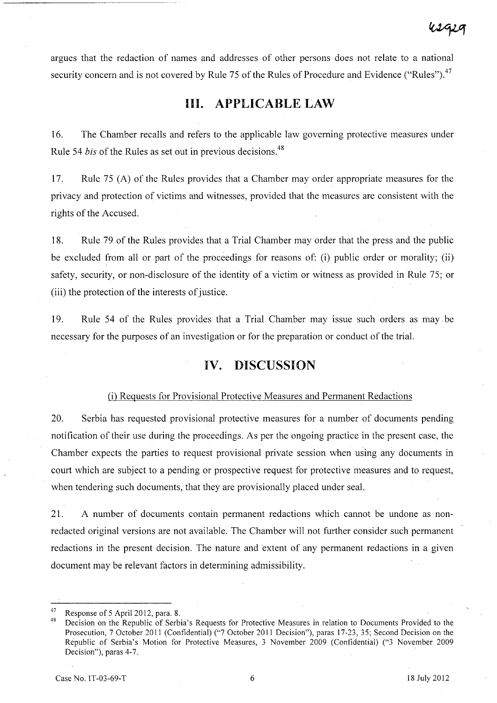argues that the redaction of names and addresses of other persons does not relate to a national security concern and is not covered by Rule 75 of the Rules of Procedure and Evidence ("Rules").<sup>47</sup>

# **Ill. APPLICABLE LAW**

16. The Chamber recalls and refers to the applicable law governing protective measures under Rule 54 *bis* of the Rules as set out in previous decisions.<sup>48</sup>

17. Rule 75 (A) of the Rules provides that a Chamber may order appropriate measures for the privacy and protection of victims and witnesses, provided that the measures are consistent with the rights of the Accused.

18. Rule 79 of the Rules provides that a Trial Chamber may order that the press and the public be excluded from all or part of the proceedings for reasons of: (i) public order or morality; (ii) safety, security, or non-disclosure of the identity of a victim or witness as provided in Rule 75; or (iii) the protection of the interests of justice.

19. Rule 54 of the Rules provides that a Trial Chamber may issue such orders as may be necessary for the purposes of an investigation or for the preparation or conduct of the trial.

# **IV. DISCUSSION**

## (i) Requests for Provisional Protective Measures and Permanent Redactions

20. Serbia has requested provisional protective measures for a number of documents pending notification of their use during the proceedings. As per the ongoing practice in the present case, the Chamber expects the parties to request provisional private session when using any documents in court which are subject to a pending or prospective request for protective measures and to request, when tendering such documents, that they are provisionally placed under seal.

21. A number of documents contain permanent redactions which cannot be undone as nonredacted original versions are not available. The Chamber will not further consider such permanent redactions in the present decision. The nature and extent of any permanent redactions in a given document may be relevant factors in determining admissibility.

<sup>&</sup>lt;sup>47</sup> Response of 5 April 2012, para. 8.

<sup>48</sup> Decision on the Republic of Serbia's Requests for Protective Measures in relation to Documents Provided to the Prosecution, 7 October 2011 (Confidential) ("7 October 2011 Decision"), paras 17-23, 35; Second Decision on the Republic of Serbia's Motion for Protective Measures, 3 November 2009 (Confidential) ("3 November 2009 Decision"), paras 4-7.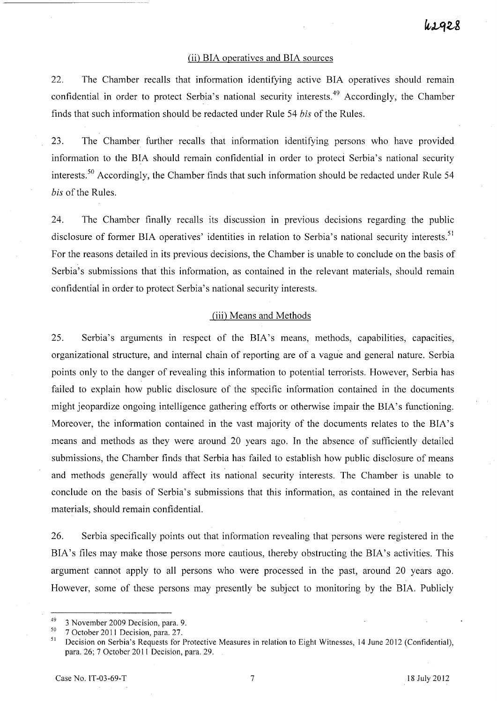#### (ii) BIA operatives and BIA sources

22. The Chamber recalls that information identifying active BIA operatives should remain confidential in order to protect Serbia's national security interests.<sup>49</sup> Accordingly, the Chamber finds that such information should be redacted under Rule 54 *bis* of the Rules.

23. The Chamber further recalls that information identifying persons who have provided information to the BIA should remain confidential in order to protect Serbia's national security interests.<sup>50</sup> Accordingly, the Chamber finds that such information should be redacted under Rule 54 *bis* of the Rules.

24. The Chamber finally recalls its discussion in previous decisions regarding the public disclosure of former BIA operatives' identities in relation to Serbia's national security interests.<sup>51</sup> For the reasons detailed in its previous decisions, the Chamber is unable to conclude on the basis of Serbia's submissions that this information, as contained in the relevant materials, should remain confidential in order to protect Serbia's national security interests.

#### (iii) Means and Methods

25. Serbia's arguments in respect of the BIA's means, methods, capabilities, capacities, organizational structure, and internal chain of reporting are of a vague and general nature. Serbia points only to the danger of revealing this information to potential terrorists. However, Serbia has failed to explain how public disclosure of the specific information contained in the documents might jeopardize ongoing intelligence gathering efforts or otherwise impair the BIA's functioning. Moreover, the information contained in the vast majority of the documents relates to the BIA's means and methods as they were around 20 years ago. In the absence of sufficiently detailed submissions, the Chamber finds that Serbia has failed to establish how public disclosure of means and methods generally would affect its national security interests. The Chamber is unable to conclude on the basis of Serbia's submissions that this information, as contained in the relevant materials, should remain confidential.

26. Serbia specifically points out that information revealing that persons were registered in the BIA's files may make those persons more cautious, thereby obstructing the BIA's activities. This argument cannot apply to all persons who were processed in the past, around 20 years ago. However, some of these persons may presently be subject to monitoring by the BIA. Publicly

 $^{49}$  3 November 2009 Decision, para. 9.

 $^{50}$  7 October 2011 Decision, para. 27.

<sup>51</sup>Decision on Serbia's Requests for Protective Measures in relation to Eight Witnesses, 14 June 2012 (Confidential), para. 26; 7 October 2011 Decision, para. 29.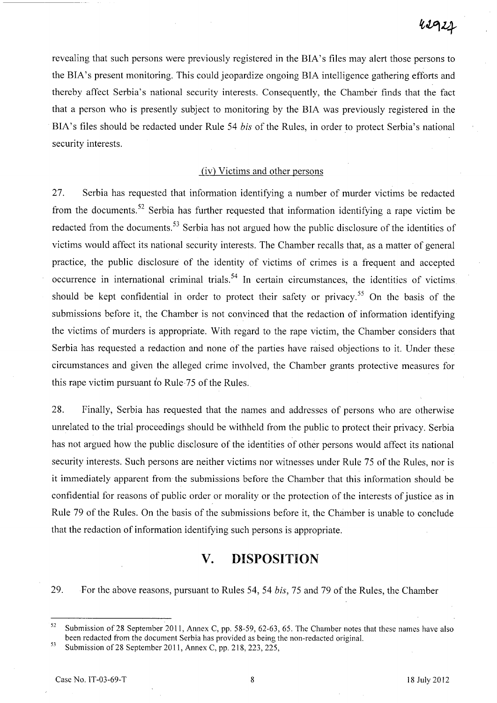revealing that such persons were previously registered in the BIA's files may alert those persons to the BIA's present monitoring. This could jeopardize ongoing BIA intelligence gathering efforts and thereby affect Serbia's national security interests. Consequently, the Chamber finds that the fact that a person who is presently subject to monitoring by the BIA was previously registered in the BIA's files should be redacted under Rule 54 *his* of the Rules, in order to protect Serbia's national security interests.

### (iv) Victims and other persons

27. Serbia has requested that information identifying a number of murder victims be redacted from the documents. 52 Serbia has further requested that information identifying a rape victim be redacted from the documents.<sup>53</sup> Serbia has not argued how the public disclosure of the identities of victims would affect its national security interests. The Chamber recalls that, as a matter of general practice, the public disclosure of the identity of victims of crimes is a frequent and accepted occurrence in international criminal trials.<sup>54</sup> In certain circumstances, the identities of victims should be kept confidential in order to protect their safety or privacy.<sup>55</sup> On the basis of the submissions before it, the Chamber is not convinced that the redaction of information identifying the victims of murders is appropriate. With regard to the rape victim, the Chamber considers that Serbia has requested a redaction and none of the parties have raised objections to it. Under these circumstances and given the alleged crime involved, the Chamber grants protective measures for this rape victim pursuant to Rule-75 of the Rules.

28. Finally, Serbia has requested that the names and addresses of persons who are otherwise umelated to the trial proceedings should be withheld from the public to protect their privacy. Serbia has not argued how the public disclosure of the identities of other persons would affect its national security interests. Such persons are neither victims nor witnesses under Rule 75 of the Rules, nor is it immediately apparent from the submissions before the Chamber that this information should be confidential for reasons of public order or morality or the protection of the interests of justice as in Rule 79 of the Rules. On the basis of the submissions before it, the Chamber is unable to conclude that the redaction of information identifying such persons is appropriate.

# **V. DISPOSITION**

29. For the above reasons, pursuant to Rules 54, 54 *his,* 75 and 79 ofthe Rules, the Chamber

53 Submission of 28 September 2011, Annex C, pp. 218,223, 225,

<sup>&</sup>lt;sup>52</sup> Submission of 28 September 2011, Annex C, pp. 58-59, 62-63, 65. The Chamber notes that these names have also been redacted from the document Serbia has provided as being the non-redacted original.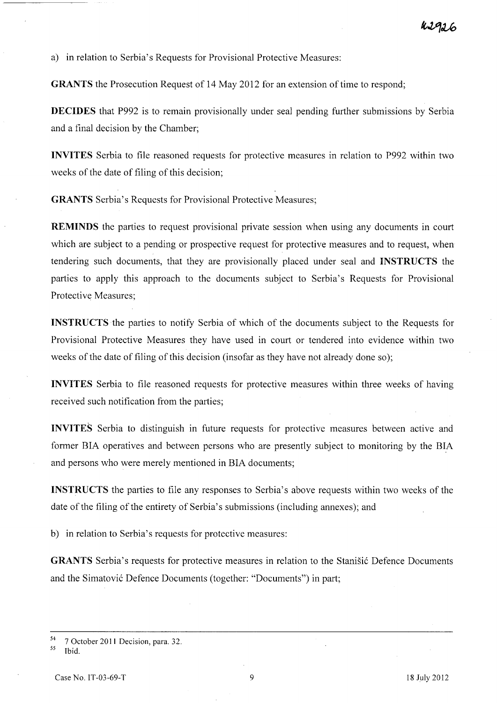a) in relation to Serbia's Requests for Provisional Protective Measures:

GRANTS the Prosecution Request of 14 May 2012 for an extension of time to respond;

DECIDES that P992 is to remain provisionally under seal pending further submissions by Serbia and a final decision by the Chamber;

INVITES Serbia to file reasoned requests for protective measures in relation to P992 within two weeks of the date of filing of this decision;

GRANTS Serbia's Requests for Provisional Protective Measures;

REMINDS the parties to request provisional private session when using any documents in court which are subject to a pending or prospective request for protective measures and to request, when tendering such documents, that they are provisionally placed under seal and INSTRUCTS the parties to apply this approach to the documents subject to Serbia's Requests for Provisional Protective Measures;

INSTRUCTS the parties to notify Serbia of which of the documents subject to the Requests for Provisional Protective Measures they have used in court or tendered into evidence within two weeks of the date of filing of this decision (insofar as they have not already done so);

INVITES Serbia to file reasoned requests for protective measures within three weeks of having received such notification from the parties;

INVITES Serbia to distinguish in future requests for protective measures between active and former BIA operatives and between persons who are presently subject to monitoring by the BI.A and persons who were merely mentioned in BIA documents;

INSTRUCTS the parties to file any responses to Serbia's above requests within two weeks of the date of the filing of the entirety of Serbia's submissions (including annexes); and

b) in relation to Serbia's requests for protective measures:

GRANTS Serbia's requests for protective measures in relation to the Stanišić Defence Documents and the Simatović Defence Documents (together: "Documents") in part;

 $\frac{54}{55}$  7 October 2011 Decision, para. 32.

Ibid.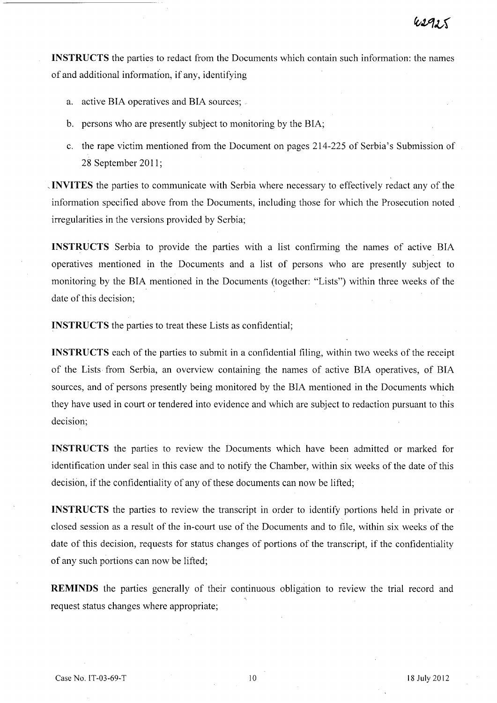**INSTRUCTS** the parties to redact from the Documents which contain such information: the names of and additional information, if any, identifying

a. active BIA operatives and BIA sources;

- b. persons who are presently subject to monitoring by the BIA;
- c. the rape victim mentioned from the Document on pages 214-225 of Serbia's Submission of 28 September 2011;

**,INVITES** the parties to communicate with Serbia where necessary to effectively redact any of the information specified above from the Documents, including those for which the Prosecution noted , irregularities in the versions provided by Serbia;

**INSTRUCTS** Serbia to provide the parties with a list confirming the names of active BIA operatives mentioned in the Documents and a list of persons who are presently subject to monitoring by the BIA mentioned in the Documents (together: "Lists") within three weeks of the date of this decision;

**INSTRUCTS** the parties to treat these Lists as confidential;

**INSTRUCTS** each of the parties to submit in a confidential filing, within two weeks of the receipt of the Lists from Serbia, an overview containing the names of active BIA operatives, of BIA sources, and of persons presently being monitored by the BIA mentioned in the Documents which they have used in court or tendered into evidence and which are subject to redaction pursuant to this decision;

**INSTRUCTS** the parties to review the Documents which have been admitted or marked for identification under seal in this case and to notify the Chamber, within six weeks of the date of this decision, if the confidentiality of any of these documents can now be lifted;

**INSTRUCTS** the parties to review the transcript in order to identify portions held in private or closed session as a result of the in-court use of the Documents and to file, within six weeks of the date of this decision, requests for status changes of portions of the transcript, if the confidentiality of any such portions can now be lifted;

**REMINDS** the parties generally of their continuous obligation to review the trial record and request status changes where appropriate;